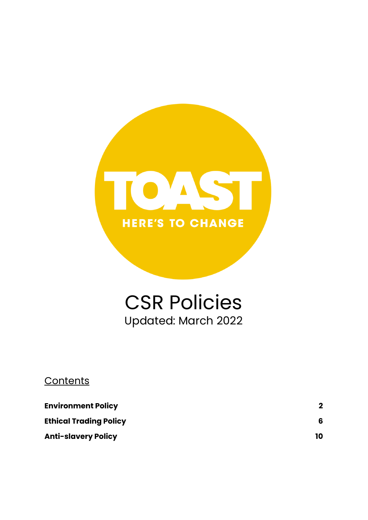

# CSR Policies Updated: March 2022

# **Contents**

| <b>Environment Policy</b>     |    |
|-------------------------------|----|
| <b>Ethical Trading Policy</b> | 6  |
| <b>Anti-slavery Policy</b>    | 10 |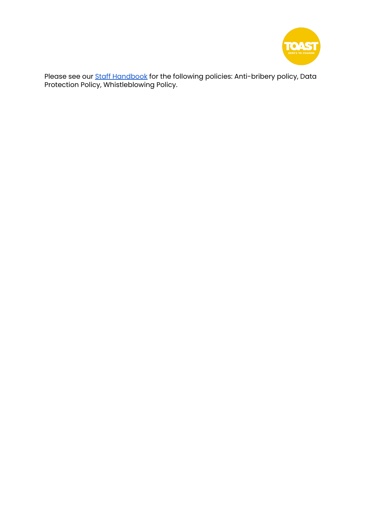

Please see our <u>Staff [Handbook](https://drive.google.com/file/d/1ifAHK_s9qU9doxKnt8OpTu0fGu3FYmrd/view?usp=sharing)</u> for the following policies: Anti-bribery policy, Data Protection Policy, Whistleblowing Policy.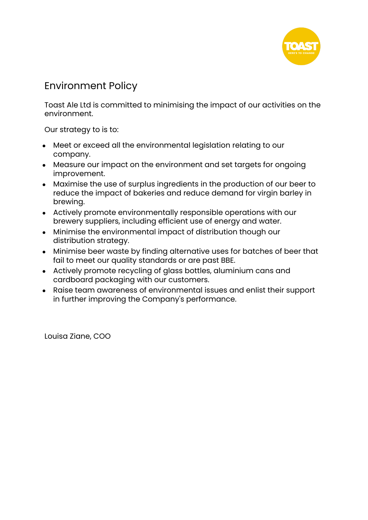

# <span id="page-2-0"></span>Environment Policy

Toast Ale Ltd is committed to minimising the impact of our activities on the environment.

Our strategy to is to:

- Meet or exceed all the environmental leaislation relating to our company.
- Measure our impact on the environment and set targets for ongoing improvement.
- Maximise the use of surplus ingredients in the production of our beer to reduce the impact of bakeries and reduce demand for virgin barley in brewing.
- Actively promote environmentally responsible operations with our brewery suppliers, including efficient use of energy and water.
- Minimise the environmental impact of distribution though our distribution strategy.
- Minimise beer waste by finding alternative uses for batches of beer that fail to meet our quality standards or are past BBE.
- Actively promote recycling of glass bottles, aluminium cans and cardboard packaging with our customers.
- Raise team awareness of environmental issues and enlist their support in further improving the Company's performance.

Louisa Ziane, COO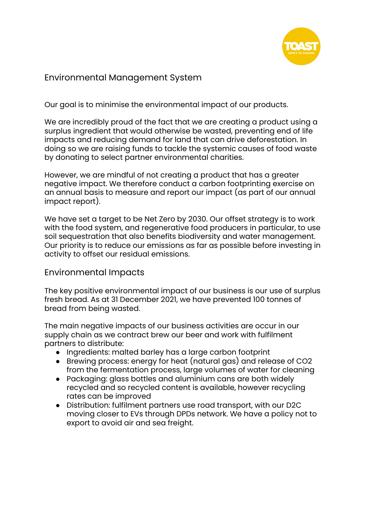

## Environmental Management System

Our goal is to minimise the environmental impact of our products.

We are incredibly proud of the fact that we are creating a product using a surplus ingredient that would otherwise be wasted, preventing end of life impacts and reducing demand for land that can drive deforestation. In doing so we are raising funds to tackle the systemic causes of food waste by donating to select partner environmental charities.

However, we are mindful of not creating a product that has a greater negative impact. We therefore conduct a carbon footprinting exercise on an annual basis to measure and report our impact (as part of our annual impact report).

We have set a target to be Net Zero by 2030. Our offset strategy is to work with the food system, and regenerative food producers in particular, to use soil sequestration that also benefits biodiversity and water management. Our priority is to reduce our emissions as far as possible before investing in activity to offset our residual emissions.

### Environmental Impacts

The key positive environmental impact of our business is our use of surplus fresh bread. As at 31 December 2021, we have prevented 100 tonnes of bread from being wasted.

The main negative impacts of our business activities are occur in our supply chain as we contract brew our beer and work with fulfilment partners to distribute:

- Ingredients: malted barley has a large carbon footprint
- Brewing process: energy for heat (natural gas) and release of CO2 from the fermentation process, large volumes of water for cleaning
- Packaging: glass bottles and aluminium cans are both widely recycled and so recycled content is available, however recycling rates can be improved
- Distribution: fulfilment partners use road transport, with our D2C moving closer to EVs through DPDs network. We have a policy not to export to avoid air and sea freight.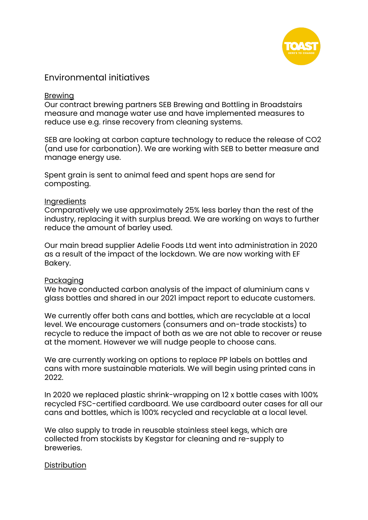

### Environmental initiatives

#### Brewing

Our contract brewing partners SEB Brewing and Bottling in Broadstairs measure and manage water use and have implemented measures to reduce use e.g. rinse recovery from cleaning systems.

SEB are looking at carbon capture technology to reduce the release of CO2 (and use for carbonation). We are working with SEB to better measure and manage energy use.

Spent grain is sent to animal feed and spent hops are send for composting.

#### **Ingredients**

Comparatively we use approximately 25% less barley than the rest of the industry, replacing it with surplus bread. We are working on ways to further reduce the amount of barley used.

Our main bread supplier Adelie Foods Ltd went into administration in 2020 as a result of the impact of the lockdown. We are now working with EF Bakery.

### Packaging

We have conducted carbon analysis of the impact of aluminium cans v glass bottles and shared in our 2021 impact report to educate customers.

We currently offer both cans and bottles, which are recyclable at a local level. We encourage customers (consumers and on-trade stockists) to recycle to reduce the impact of both as we are not able to recover or reuse at the moment. However we will nudge people to choose cans.

We are currently working on options to replace PP labels on bottles and cans with more sustainable materials. We will begin using printed cans in 2022.

In 2020 we replaced plastic shrink-wrapping on 12 x bottle cases with 100% recycled FSC-certified cardboard. We use cardboard outer cases for all our cans and bottles, which is 100% recycled and recyclable at a local level.

We also supply to trade in reusable stainless steel kegs, which are collected from stockists by Kegstar for cleaning and re-supply to breweries.

### **Distribution**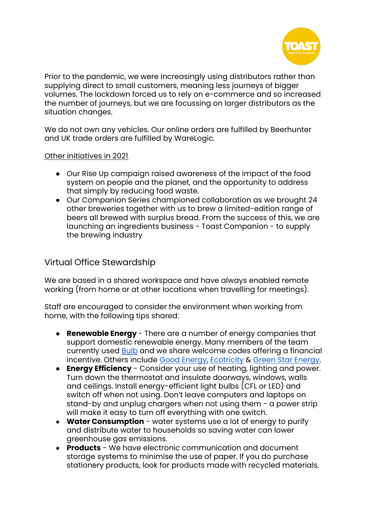

Prior to the pandemic, we were increasingly using distributors rather than supplying direct to small customers, meaning less journeys of bigger volumes. The lockdown forced us to rely on e-commerce and so increased the number of journeys, but we are focussing on larger distributors as the situation changes.

We do not own any vehicles. Our online orders are fulfilled by Beerhunter and UK trade orders are fulfilled by WareLogic.

### Other initiatives in 2021

- Our Rise Up campaign raised awareness of the impact of the food system on people and the planet, and the opportunity to address that simply by reducing food waste.
- Our Companion Series championed collaboration as we brought 24 other breweries together with us to brew a limited-edition range of beers all brewed with surplus bread. From the success of this, we are launching an ingredients business - Toast Companion - to supply the brewing industry

# Virtual Office Stewardship

We are based in a shared workspace and have always enabled remote working (from home or at other locations when travelling for meetings).

Staff are encouraged to consider the environment when working from home, with the following tips shared:

- **Renewable Energy** There are a number of energy companies that support domestic renewable energy. Many members of the team currently used [Bulb](https://bulb.co.uk) and we share welcome codes offering a financial incentive. Others include Good [Energy](https://www.goodenergy.co.uk), [Ecotricity](https://www.ecotricity.co.uk) & Green Star [Energy.](https://www.mygreenstarenergy.com)
- **Energy Efficiency** Consider your use of heating, lighting and power. Turn down the thermostat and insulate doorways, windows, walls and ceilings. Install energy-efficient light bulbs (CFL or LED) and switch off when not using. Don't leave computers and laptops on stand-by and unplug chargers when not using them - a power strip will make it easy to turn off everything with one switch.
- **Water Consumption** water systems use a lot of energy to purify and distribute water to households so saving water can lower greenhouse gas emissions.
- **Products** We have electronic communication and document storage systems to minimise the use of paper. If you do purchase stationery products, look for products made with recycled materials.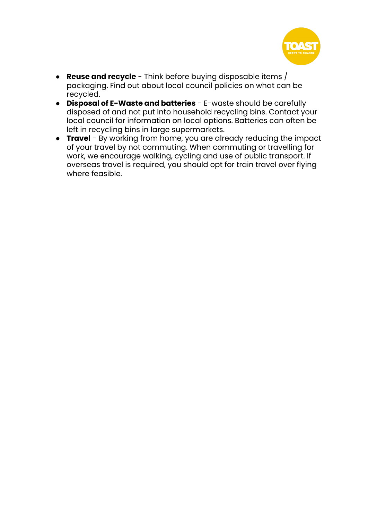

- **Reuse and recycle** Think before buying disposable items / packaging. Find out about local council policies on what can be recycled.
- **Disposal of E-Waste and batteries** E-waste should be carefully disposed of and not put into household recycling bins. Contact your local council for information on local options. Batteries can often be left in recycling bins in large supermarkets.
- <span id="page-6-0"></span>**• Travel** - By working from home, you are already reducing the impact of your travel by not commuting. When commuting or travelling for work, we encourage walking, cycling and use of public transport. If overseas travel is required, you should opt for train travel over flying where feasible.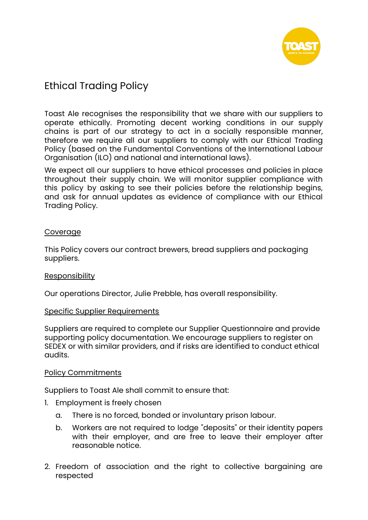

# Ethical Trading Policy

Toast Ale recognises the responsibility that we share with our suppliers to operate ethically. Promoting decent working conditions in our supply chains is part of our strategy to act in a socially responsible manner, therefore we require all our suppliers to comply with our Ethical Trading Policy (based on the Fundamental Conventions of the International Labour Organisation (ILO) and national and international laws).

We expect all our suppliers to have ethical processes and policies in place throughout their supply chain. We will monitor supplier compliance with this policy by asking to see their policies before the relationship begins, and ask for annual updates as evidence of compliance with our Ethical Trading Policy.

### **Coverage**

This Policy covers our contract brewers, bread suppliers and packaging suppliers.

### **Responsibility**

Our operations Director, Julie Prebble, has overall responsibility.

### Specific Supplier Requirements

Suppliers are required to complete our Supplier Questionnaire and provide supporting policy documentation. We encourage suppliers to register on SEDEX or with similar providers, and if risks are identified to conduct ethical audits.

### Policy Commitments

Suppliers to Toast Ale shall commit to ensure that:

- 1. Employment is freely chosen
	- a. There is no forced, bonded or involuntary prison labour.
	- b. Workers are not required to lodge "deposits" or their identity papers with their employer, and are free to leave their employer after reasonable notice.
- 2. Freedom of association and the right to collective bargaining are respected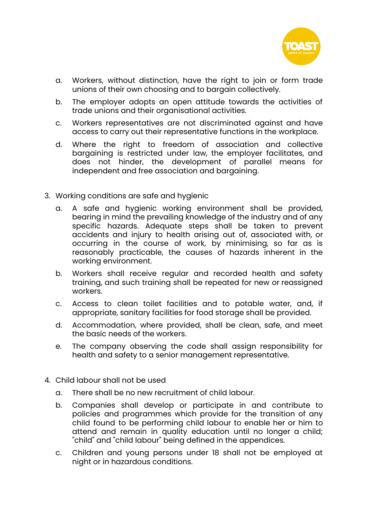

- a. Workers, without distinction, have the right to join or form trade unions of their own choosing and to bargain collectively.
- b. The employer adopts an open attitude towards the activities of trade unions and their organisational activities.
- c. Workers representatives are not discriminated against and have access to carry out their representative functions in the workplace.
- d. Where the right to freedom of association and collective bargaining is restricted under law, the employer facilitates, and does not hinder, the development of parallel means for independent and free association and bargaining.
- 3. Working conditions are safe and hygienic
	- a. A safe and hygienic working environment shall be provided, bearing in mind the prevailing knowledge of the industry and of any specific hazards. Adequate steps shall be taken to prevent accidents and injury to health arising out of, associated with, or occurring in the course of work, by minimising, so far as is reasonably practicable, the causes of hazards inherent in the working environment.
	- b. Workers shall receive regular and recorded health and safety training, and such training shall be repeated for new or reassigned workers.
	- c. Access to clean toilet facilities and to potable water, and, if appropriate, sanitary facilities for food storage shall be provided.
	- d. Accommodation, where provided, shall be clean, safe, and meet the basic needs of the workers.
	- e. The company observing the code shall assign responsibility for health and safety to a senior management representative.
- 4. Child labour shall not be used
	- a. There shall be no new recruitment of child labour.
	- b. Companies shall develop or participate in and contribute to policies and programmes which provide for the transition of any child found to be performing child labour to enable her or him to attend and remain in quality education until no longer a child; "child" and "child labour" being defined in the appendices.
	- c. Children and young persons under 18 shall not be employed at night or in hazardous conditions.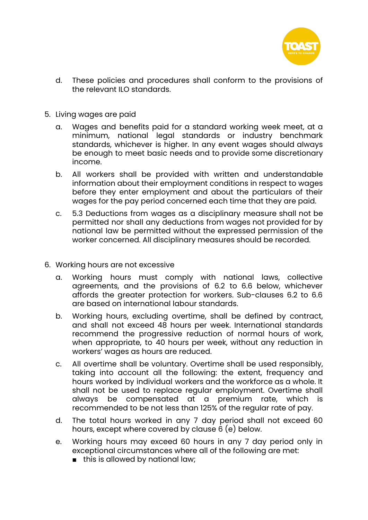

- d. These policies and procedures shall conform to the provisions of the relevant ILO standards.
- 5. Living wages are paid
	- a. Wages and benefits paid for a standard working week meet, at a minimum, national legal standards or industry benchmark standards, whichever is higher. In any event wages should always be enough to meet basic needs and to provide some discretionary income.
	- b. All workers shall be provided with written and understandable information about their employment conditions in respect to wages before they enter employment and about the particulars of their wages for the pay period concerned each time that they are paid.
	- c. 5.3 Deductions from wages as a disciplinary measure shall not be permitted nor shall any deductions from wages not provided for by national law be permitted without the expressed permission of the worker concerned. All disciplinary measures should be recorded.
- 6. Working hours are not excessive
	- a. Working hours must comply with national laws, collective agreements, and the provisions of 6.2 to 6.6 below, whichever affords the greater protection for workers. Sub-clauses 6.2 to 6.6 are based on international labour standards.
	- b. Working hours, excluding overtime, shall be defined by contract, and shall not exceed 48 hours per week. International standards recommend the progressive reduction of normal hours of work, when appropriate, to 40 hours per week, without any reduction in workers' wages as hours are reduced.
	- c. All overtime shall be voluntary. Overtime shall be used responsibly, taking into account all the following: the extent, frequency and hours worked by individual workers and the workforce as a whole. It shall not be used to replace regular employment. Overtime shall always be compensated at a premium rate, which is recommended to be not less than 125% of the regular rate of pay.
	- d. The total hours worked in any 7 day period shall not exceed 60 hours, except where covered by clause 6 (e) below.
	- e. Working hours may exceed 60 hours in any 7 day period only in exceptional circumstances where all of the following are met:
		- this is allowed by national law;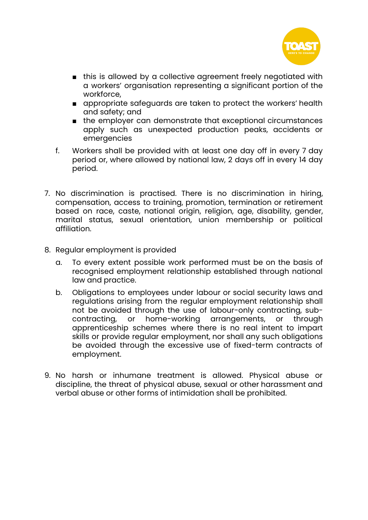

- this is allowed by a collective agreement freely negotiated with a workers' organisation representing a significant portion of the workforce,
- appropriate safeguards are taken to protect the workers' health and safety; and
- the employer can demonstrate that exceptional circumstances apply such as unexpected production peaks, accidents or emergencies
- f. Workers shall be provided with at least one day off in every 7 day period or, where allowed by national law, 2 days off in every 14 day period.
- 7. No discrimination is practised. There is no discrimination in hiring, compensation, access to training, promotion, termination or retirement based on race, caste, national origin, religion, age, disability, gender, marital status, sexual orientation, union membership or political affiliation.
- 8. Regular employment is provided
	- a. To every extent possible work performed must be on the basis of recognised employment relationship established through national law and practice.
	- b. Obligations to employees under labour or social security laws and regulations arising from the regular employment relationship shall not be avoided through the use of labour-only contracting, subcontracting, or home-working arrangements, or through apprenticeship schemes where there is no real intent to impart skills or provide regular employment, nor shall any such obligations be avoided through the excessive use of fixed-term contracts of employment.
- 9. No harsh or inhumane treatment is allowed. Physical abuse or discipline, the threat of physical abuse, sexual or other harassment and verbal abuse or other forms of intimidation shall be prohibited.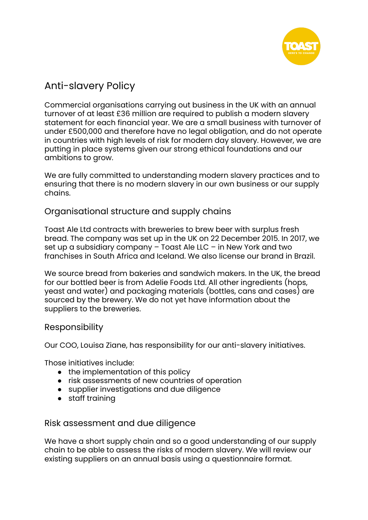

# <span id="page-11-0"></span>Anti-slavery Policy

Commercial organisations carrying out business in the UK with an annual turnover of at least £36 million are required to publish a modern slavery statement for each financial year. We are a small business with turnover of under £500,000 and therefore have no legal obligation, and do not operate in countries with high levels of risk for modern day slavery. However, we are putting in place systems given our strong ethical foundations and our ambitions to grow.

We are fully committed to understanding modern slavery practices and to ensuring that there is no modern slavery in our own business or our supply chains.

### Organisational structure and supply chains

Toast Ale Ltd contracts with breweries to brew beer with surplus fresh bread. The company was set up in the UK on 22 December 2015. In 2017, we set up a subsidiary company – Toast Ale LLC – in New York and two franchises in South Africa and Iceland. We also license our brand in Brazil.

We source bread from bakeries and sandwich makers. In the UK, the bread for our bottled beer is from Adelie Foods Ltd. All other ingredients (hops, yeast and water) and packaging materials (bottles, cans and cases) are sourced by the brewery. We do not yet have information about the suppliers to the breweries.

### Responsibility

Our COO, Louisa Ziane, has responsibility for our anti-slavery initiatives.

Those initiatives include:

- the implementation of this policy
- risk assessments of new countries of operation
- supplier investigations and due diligence
- staff training

Risk assessment and due diligence

We have a short supply chain and so a good understanding of our supply chain to be able to assess the risks of modern slavery. We will review our existing suppliers on an annual basis using a questionnaire format.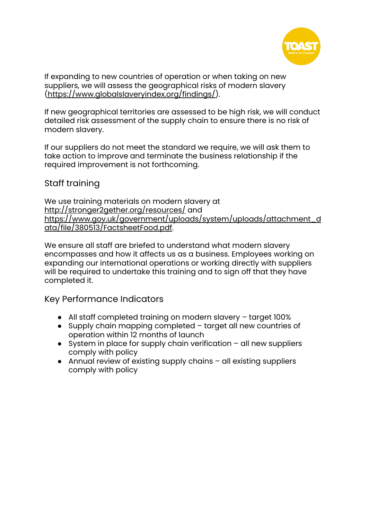

If expanding to new countries of operation or when taking on new suppliers, we will assess the geographical risks of modern slavery [\(https://www.globalslaveryindex.org/findings/\)](https://www.globalslaveryindex.org/findings/).

If new geographical territories are assessed to be high risk, we will conduct detailed risk assessment of the supply chain to ensure there is no risk of modern slavery.

If our suppliers do not meet the standard we require, we will ask them to take action to improve and terminate the business relationship if the required improvement is not forthcoming.

### Staff training

We use training materials on modern slavery at <http://stronger2gether.org/resources/> and [https://www.gov.uk/government/uploads/system/uploads/attachment\\_d](https://www.gov.uk/government/uploads/system/uploads/attachment_data/file/380513/FactsheetFood.pdf) [ata/file/380513/FactsheetFood.pdf.](https://www.gov.uk/government/uploads/system/uploads/attachment_data/file/380513/FactsheetFood.pdf)

We ensure all staff are briefed to understand what modern slavery encompasses and how it affects us as a business. Employees working on expanding our international operations or working directly with suppliers will be required to undertake this training and to sign off that they have completed it.

Key Performance Indicators

- All staff completed training on modern slavery target 100%
- Supply chain mapping completed target all new countries of operation within 12 months of launch
- $\bullet$  System in place for supply chain verification  $-$  all new suppliers comply with policy
- Annual review of existing supply chains all existing suppliers comply with policy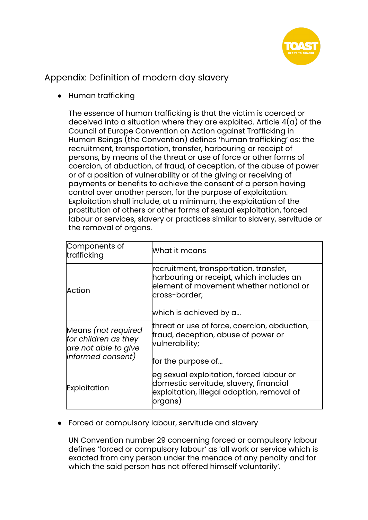

Appendix: Definition of modern day slavery

● Human trafficking

The essence of human trafficking is that the victim is coerced or deceived into a situation where they are exploited. Article  $4(a)$  of the Council of Europe Convention on Action against Trafficking in Human Beings (the Convention) defines 'human trafficking' as: the recruitment, transportation, transfer, harbouring or receipt of persons, by means of the threat or use of force or other forms of coercion, of abduction, of fraud, of deception, of the abuse of power or of a position of vulnerability or of the giving or receiving of payments or benefits to achieve the consent of a person having control over another person, for the purpose of exploitation. Exploitation shall include, at a minimum, the exploitation of the prostitution of others or other forms of sexual exploitation, forced labour or services, slavery or practices similar to slavery, servitude or the removal of organs.

| Components of<br>trafficking                                                              | What it means                                                                                                                                                            |
|-------------------------------------------------------------------------------------------|--------------------------------------------------------------------------------------------------------------------------------------------------------------------------|
| Action                                                                                    | recruitment, transportation, transfer,<br>harbouring or receipt, which includes an<br>element of movement whether national or<br>cross-border;<br>which is achieved by a |
| Means (not required<br>for children as they<br>are not able to give<br> informed consent) | threat or use of force, coercion, abduction,<br>fraud, deception, abuse of power or<br>vulnerability;<br>for the purpose of                                              |
| Exploitation                                                                              | leg sexual exploitation, forced labour or<br>domestic servitude, slavery, financial<br>exploitation, illegal adoption, removal of<br> organs)                            |

● Forced or compulsory labour, servitude and slavery

UN Convention number 29 concerning forced or compulsory labour defines 'forced or compulsory labour' as 'all work or service which is exacted from any person under the menace of any penalty and for which the said person has not offered himself voluntarily'.